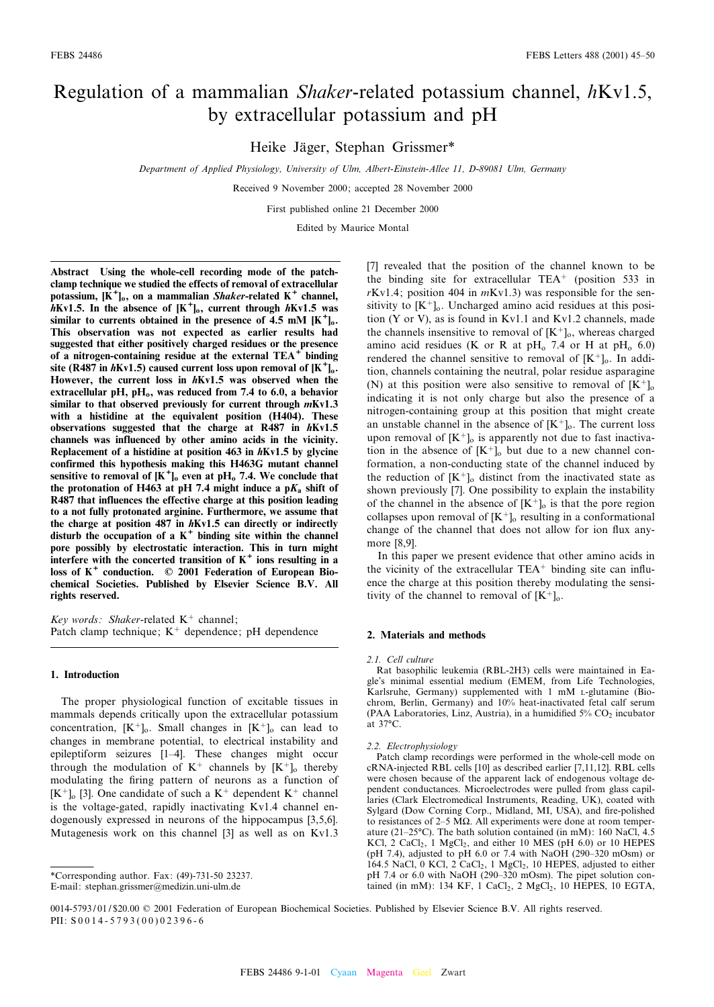# Regulation of a mammalian Shaker-related potassium channel, hKv1.5, by extracellular potassium and pH

Heike Jäger, Stephan Grissmer\*

Department of Applied Physiology, University of Ulm, Albert-Einstein-Allee 11, D-89081 Ulm, Germany

Received 9 November 2000; accepted 28 November 2000

First published online 21 December 2000

Edited by Maurice Montal

Abstract Using the whole-cell recording mode of the patchclamp technique we studied the effects of removal of extracellular potassium,  $[K^+]_0$ , on a mammalian *Shaker*-related  $K^+$  channel,  $h$ Kv1.5. In the absence of  $[K^+]_0$ , current through  $h$ Kv1.5 was similar to currents obtained in the presence of  $4.5$  mM  $[K^+]$ <sub>0</sub>. This observation was not expected as earlier results had suggested that either positively charged residues or the presence of a nitrogen-containing residue at the external TEA<sup>+</sup> binding site (R487 in hKv1.5) caused current loss upon removal of  $[K^+]_0$ . However, the current loss in hKv1.5 was observed when the extracellular pH,  $pH_0$ , was reduced from 7.4 to 6.0, a behavior similar to that observed previously for current through  $mKv1.3$ with a histidine at the equivalent position (H404). These observations suggested that the charge at R487 in hKv1.5 channels was influenced by other amino acids in the vicinity. Replacement of a histidine at position 463 in hKv1.5 by glycine confirmed this hypothesis making this H463G mutant channel sensitive to removal of  $[K^+]_0$  even at pH<sub>0</sub> 7.4. We conclude that the protonation of H463 at pH 7.4 might induce a  $pK_a$  shift of R487 that influences the effective charge at this position leading to a not fully protonated arginine. Furthermore, we assume that the charge at position 487 in hKv1.5 can directly or indirectly disturb the occupation of a  $K^+$  binding site within the channel pore possibly by electrostatic interaction. This in turn might interfere with the concerted transition of  $K^+$  ions resulting in a loss of  $K^+$  conduction.  $\oslash$  2001 Federation of European Biochemical Societies. Published by Elsevier Science B.V. All rights reserved.

Key words: Shaker-related  $K^+$  channel; Patch clamp technique;  $K^+$  dependence; pH dependence

#### 1. Introduction

The proper physiological function of excitable tissues in mammals depends critically upon the extracellular potassium concentration,  $[K^+]_0$ . Small changes in  $[K^+]_0$  can lead to changes in membrane potential, to electrical instability and epileptiform seizures [1^4]. These changes might occur through the modulation of  $K^+$  channels by  $[K^+]_0$  thereby modulating the firing pattern of neurons as a function of  $[K^+]_0$  [3]. One candidate of such a  $K^+$  dependent  $K^+$  channel is the voltage-gated, rapidly inactivating Kv1.4 channel endogenously expressed in neurons of the hippocampus [3,5,6]. Mutagenesis work on this channel [3] as well as on Kv1.3

[7] revealed that the position of the channel known to be the binding site for extracellular TEA<sup>+</sup> (position 533 in  $rKv1.4$ ; position 404 in  $mKv1.3$ ) was responsible for the sensitivity to  $[K^+]$ <sub>o</sub>. Uncharged amino acid residues at this position (Y or V), as is found in Kv1.1 and Kv1.2 channels, made the channels insensitive to removal of  $[K^+]_0$ , whereas charged amino acid residues (K or R at  $pH_0$  7.4 or H at  $pH_0$  6.0) rendered the channel sensitive to removal of  $[K^+]_0$ . In addition, channels containing the neutral, polar residue asparagine (N) at this position were also sensitive to removal of  $[K^+]_0$ indicating it is not only charge but also the presence of a nitrogen-containing group at this position that might create an unstable channel in the absence of  $[K^+]_0$ . The current loss upon removal of  $[K^+]_0$  is apparently not due to fast inactivation in the absence of  $[K^+]_0$  but due to a new channel conformation, a non-conducting state of the channel induced by the reduction of  $[K^+]_0$  distinct from the inactivated state as shown previously [7]. One possibility to explain the instability of the channel in the absence of  $[K^+]_0$  is that the pore region collapses upon removal of  $[K^+]$ <sub>o</sub> resulting in a conformational change of the channel that does not allow for ion flux anymore [8,9].

In this paper we present evidence that other amino acids in the vicinity of the extracellular  $TEA<sup>+</sup>$  binding site can influence the charge at this position thereby modulating the sensitivity of the channel to removal of  $[K^+]_0$ .

#### 2. Materials and methods

#### 2.1. Cell culture

Rat basophilic leukemia (RBL-2H3) cells were maintained in Eagle's minimal essential medium (EMEM, from Life Technologies, Karlsruhe, Germany) supplemented with 1 mM L-glutamine (Biochrom, Berlin, Germany) and 10% heat-inactivated fetal calf serum (PAA Laboratories, Linz, Austria), in a humidified  $5\%$  CO<sub>2</sub> incubator at  $37^{\circ}$ C.

#### 2.2. Electrophysiology

Patch clamp recordings were performed in the whole-cell mode on cRNA-injected RBL cells [10] as described earlier [7,11,12]. RBL cells were chosen because of the apparent lack of endogenous voltage dependent conductances. Microelectrodes were pulled from glass capillaries (Clark Electromedical Instruments, Reading, UK), coated with Sylgard (Dow Corning Corp., Midland, MI, USA), and fire-polished to resistances of  $2-5$  M $\Omega$ . All experiments were done at room temperature (21-25 $°C$ ). The bath solution contained (in mM): 160 NaCl, 4.5 KCl,  $2 \text{ CaCl}_2$ , 1 MgCl<sub>2</sub>, and either 10 MES (pH 6.0) or 10 HEPES (pH 7.4), adjusted to pH 6.0 or 7.4 with NaOH (290-320 mOsm) or 164.5 NaCl, 0 KCl, 2 CaCl<sub>2</sub>, 1 MgCl<sub>2</sub>, 10 HEPES, adjusted to either pH 7.4 or 6.0 with NaOH (290-320 mOsm). The pipet solution contained (in mM): 134 KF, 1 CaCl<sub>2</sub>, 2 MgCl<sub>2</sub>, 10 HEPES, 10 EGTA,

<sup>\*</sup>Corresponding author. Fax: (49)-731-50 23237.

E-mail: stephan.grissmer@medizin.uni-ulm.de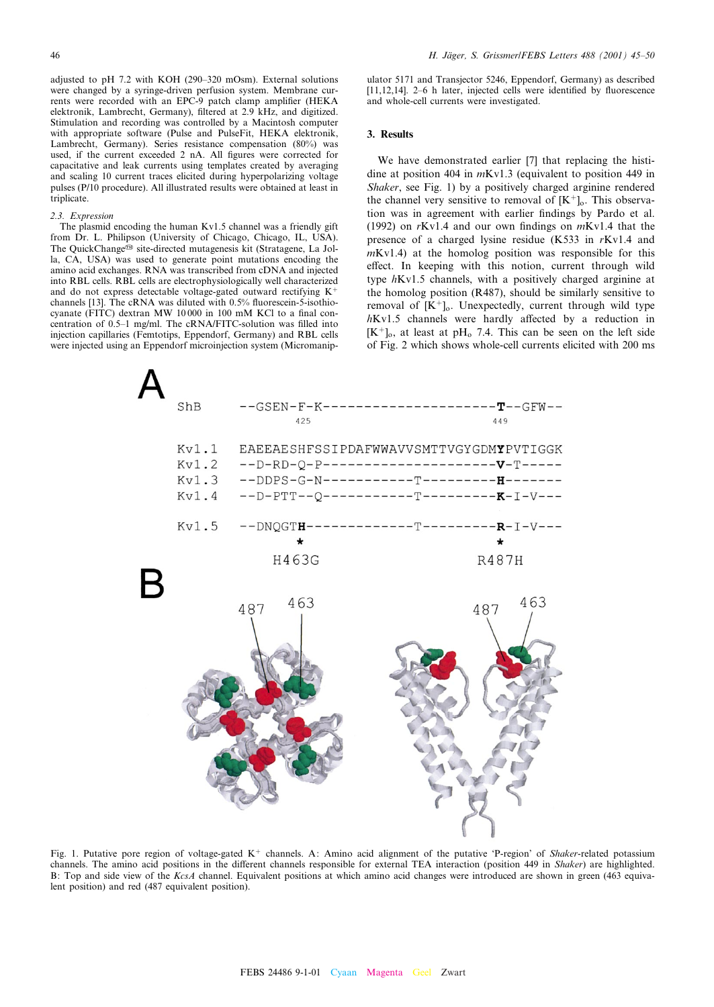adjusted to pH 7.2 with KOH (290^320 mOsm). External solutions were changed by a syringe-driven perfusion system. Membrane currents were recorded with an EPC-9 patch clamp amplifier (HEKA elektronik, Lambrecht, Germany), filtered at 2.9 kHz, and digitized. Stimulation and recording was controlled by a Macintosh computer with appropriate software (Pulse and PulseFit, HEKA elektronik, Lambrecht, Germany). Series resistance compensation (80%) was used, if the current exceeded 2 nA. All figures were corrected for capacitative and leak currents using templates created by averaging and scaling 10 current traces elicited during hyperpolarizing voltage pulses (P/10 procedure). All illustrated results were obtained at least in triplicate.

## 2.3. Expression

The plasmid encoding the human Kv1.5 channel was a friendly gift from Dr. L. Philipson (University of Chicago, Chicago, IL, USA). The QuickChange<sup>®</sup> site-directed mutagenesis kit (Stratagene, La Jolla, CA, USA) was used to generate point mutations encoding the amino acid exchanges. RNA was transcribed from cDNA and injected into RBL cells. RBL cells are electrophysiologically well characterized and do not express detectable voltage-gated outward rectifying K channels  $[13]$ . The cRNA was diluted with 0.5% fluorescein-5-isothiocyanate (FITC) dextran MW 10000 in 100 mM KCl to a final concentration of 0.5-1 mg/ml. The cRNA/FITC-solution was filled into injection capillaries (Femtotips, Eppendorf, Germany) and RBL cells were injected using an Eppendorf microinjection system (Micromanipulator 5171 and Transjector 5246, Eppendorf, Germany) as described  $[11, 12, 14]$ . 2 $-6$  h later, injected cells were identified by fluorescence and whole-cell currents were investigated.

# 3. Results

We have demonstrated earlier [7] that replacing the histidine at position 404 in mKv1.3 (equivalent to position 449 in Shaker, see Fig. 1) by a positively charged arginine rendered the channel very sensitive to removal of  $[K^+]_0$ . This observation was in agreement with earlier findings by Pardo et al. (1992) on  $rKv1.4$  and our own findings on  $mKv1.4$  that the presence of a charged lysine residue (K533 in rKv1.4 and  $mKv1.4$ ) at the homolog position was responsible for this effect. In keeping with this notion, current through wild type hKv1.5 channels, with a positively charged arginine at the homolog position (R487), should be similarly sensitive to removal of  $[K^+]_0$ . Unexpectedly, current through wild type  $h$ Kv1.5 channels were hardly affected by a reduction in  $[K^+]_0$ , at least at pH<sub>o</sub> 7.4. This can be seen on the left side of Fig. 2 which shows whole-cell currents elicited with 200 ms



Fig. 1. Putative pore region of voltage-gated  $K^+$  channels. A: Amino acid alignment of the putative 'P-region' of Shaker-related potassium channels. The amino acid positions in the different channels responsible for external TEA interaction (position 449 in *Shaker*) are highlighted. B: Top and side view of the KcsA channel. Equivalent positions at which amino acid changes were introduced are shown in green (463 equivalent position) and red (487 equivalent position).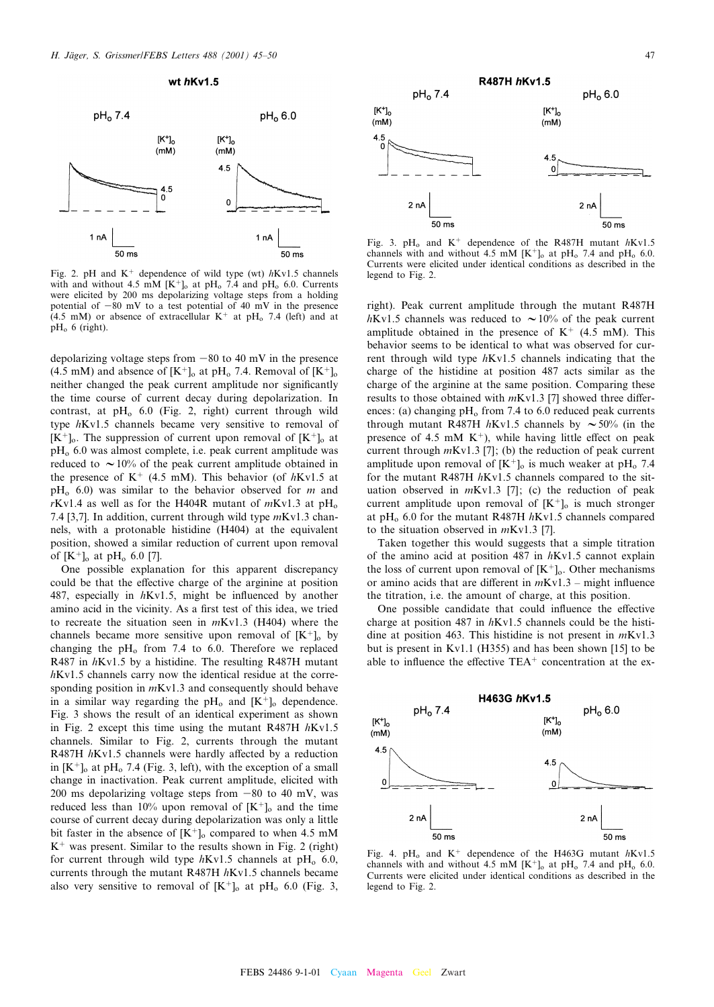

Fig. 2. pH and  $K^+$  dependence of wild type (wt)  $hKv1.5$  channels with and without 4.5 mM  $[K^+]_0$  at pH<sub>o</sub> 7.4 and pH<sub>o</sub> 6.0. Currents were elicited by 200 ms depolarizing voltage steps from a holding potential of  $-80$  mV to a test potential of 40 mV in the presence (4.5 mM) or absence of extracellular  $K^+$  at pH<sub>o</sub> 7.4 (left) and at  $pH<sub>o</sub>$  6 (right).

depolarizing voltage steps from  $-80$  to 40 mV in the presence (4.5 mM) and absence of  $[K^+]_0$  at pH<sub>0</sub> 7.4. Removal of  $[K^+]_0$ neither changed the peak current amplitude nor significantly the time course of current decay during depolarization. In contrast, at  $pH_0$  6.0 (Fig. 2, right) current through wild type hKv1.5 channels became very sensitive to removal of  $[K^+]_0$ . The suppression of current upon removal of  $[K^+]_0$  at  $pH<sub>o</sub>$  6.0 was almost complete, i.e. peak current amplitude was reduced to  $\sim$  10% of the peak current amplitude obtained in the presence of  $K^+$  (4.5 mM). This behavior (of hKv1.5 at  $pH_0$  6.0) was similar to the behavior observed for m and rKv1.4 as well as for the H404R mutant of  $mKv1.3$  at  $pH_0$ 7.4 [3,7]. In addition, current through wild type  $mKv1.3$  channels, with a protonable histidine (H404) at the equivalent position, showed a similar reduction of current upon removal of  $[K^+]_0$  at pH<sub>o</sub> 6.0 [7].

One possible explanation for this apparent discrepancy could be that the effective charge of the arginine at position 487, especially in  $hKv1.5$ , might be influenced by another amino acid in the vicinity. As a first test of this idea, we tried to recreate the situation seen in mKv1.3 (H404) where the channels became more sensitive upon removal of  $[K^+]_0$  by changing the  $pH<sub>o</sub>$  from 7.4 to 6.0. Therefore we replaced R487 in hKv1.5 by a histidine. The resulting R487H mutant hKv1.5 channels carry now the identical residue at the corresponding position in  $mKv1.3$  and consequently should behave in a similar way regarding the  $pH_0$  and  $[K^+]_0$  dependence. Fig. 3 shows the result of an identical experiment as shown in Fig. 2 except this time using the mutant R487H hKv1.5 channels. Similar to Fig. 2, currents through the mutant R487H  $h$ Kv1.5 channels were hardly affected by a reduction in  $[K^+]_0$  at pH<sub>0</sub> 7.4 (Fig. 3, left), with the exception of a small change in inactivation. Peak current amplitude, elicited with 200 ms depolarizing voltage steps from  $-80$  to 40 mV, was reduced less than 10% upon removal of  $[K^+]_0$  and the time course of current decay during depolarization was only a little bit faster in the absence of  $[K^+]_0$  compared to when 4.5 mM  $K^+$  was present. Similar to the results shown in Fig. 2 (right) for current through wild type  $hKv1.5$  channels at pH<sub>0</sub> 6.0, currents through the mutant R487H hKv1.5 channels became also very sensitive to removal of  $[K^+]_0$  at pH<sub>o</sub> 6.0 (Fig. 3,



Fig. 3. pH<sub>o</sub> and K<sup>+</sup> dependence of the R487H mutant  $hKv1.5$ channels with and without 4.5 mM  $[K^+]$ <sub>o</sub> at pH<sub>o</sub> 7.4 and pH<sub>o</sub> 6.0. Currents were elicited under identical conditions as described in the legend to Fig. 2.

right). Peak current amplitude through the mutant R487H  $h$ Kv1.5 channels was reduced to  $\sim$  10% of the peak current amplitude obtained in the presence of  $K^+$  (4.5 mM). This behavior seems to be identical to what was observed for current through wild type hKv1.5 channels indicating that the charge of the histidine at position 487 acts similar as the charge of the arginine at the same position. Comparing these results to those obtained with  $mKv1.3$  [7] showed three differences: (a) changing  $pH<sub>o</sub>$  from 7.4 to 6.0 reduced peak currents through mutant R487H  $h$ Kv1.5 channels by  $\sim$  50% (in the presence of 4.5 mM  $K^+$ ), while having little effect on peak current through  $mKv1.3$  [7]; (b) the reduction of peak current amplitude upon removal of  $[K^+]_0$  is much weaker at pH<sub>0</sub> 7.4 for the mutant R487H hKv1.5 channels compared to the situation observed in  $mKv1.3$  [7]; (c) the reduction of peak current amplitude upon removal of  $[K^+]_0$  is much stronger at pH<sub>o</sub> 6.0 for the mutant R487H  $h$ Kv1.5 channels compared to the situation observed in mKv1.3 [7].

Taken together this would suggests that a simple titration of the amino acid at position 487 in hKv1.5 cannot explain the loss of current upon removal of  $[K^+]_0$ . Other mechanisms or amino acids that are different in  $mKv1.3$  – might influence the titration, i.e. the amount of charge, at this position.

One possible candidate that could influence the effective charge at position 487 in  $h$ Kv1.5 channels could be the histidine at position 463. This histidine is not present in mKv1.3 but is present in Kv1.1 (H355) and has been shown [15] to be able to influence the effective  $TEA<sup>+</sup>$  concentration at the ex-



Fig. 4. pH<sub>o</sub> and K<sup>+</sup> dependence of the H463G mutant  $h$ Kv1.5 channels with and without 4.5 mM  $[K^+]_0$  at pH<sub>o</sub> 7.4 and pH<sub>o</sub> 6.0. Currents were elicited under identical conditions as described in the legend to Fig. 2.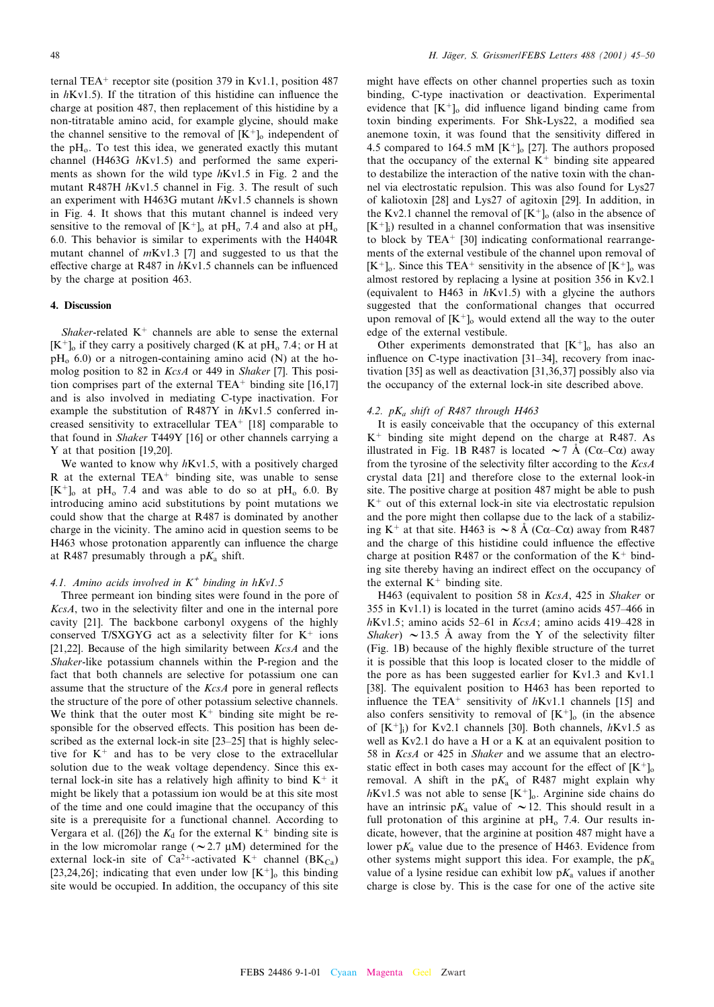ternal TEA<sup>+</sup> receptor site (position 379 in Kv1.1, position 487 in  $hKv1.5$ ). If the titration of this histidine can influence the charge at position 487, then replacement of this histidine by a non-titratable amino acid, for example glycine, should make the channel sensitive to the removal of  $[K^+]_0$  independent of the  $pH<sub>o</sub>$ . To test this idea, we generated exactly this mutant channel (H463G hKv1.5) and performed the same experiments as shown for the wild type  $hKv1.5$  in Fig. 2 and the mutant R487H hKv1.5 channel in Fig. 3. The result of such an experiment with H463G mutant hKv1.5 channels is shown in Fig. 4. It shows that this mutant channel is indeed very sensitive to the removal of  $[K^+]_0$  at pH<sub>o</sub> 7.4 and also at pH<sub>o</sub> 6.0. This behavior is similar to experiments with the H404R mutant channel of mKv1.3 [7] and suggested to us that the effective charge at R487 in  $h$ Kv1.5 channels can be influenced by the charge at position 463.

# 4. Discussion

Shaker-related  $K^+$  channels are able to sense the external  $[K^+]$ <sub>o</sub> if they carry a positively charged (K at pH<sub>o</sub> 7.4; or H at  $pH<sub>o</sub>$  6.0) or a nitrogen-containing amino acid (N) at the homolog position to 82 in *KcsA* or 449 in *Shaker* [7]. This position comprises part of the external TEA<sup> $+$ </sup> binding site [16,17] and is also involved in mediating C-type inactivation. For example the substitution of R487Y in hKv1.5 conferred increased sensitivity to extracellular TEA<sup>+</sup> [18] comparable to that found in Shaker T449Y [16] or other channels carrying a Y at that position [19,20].

We wanted to know why  $hKv1.5$ , with a positively charged R at the external  $TEA<sup>+</sup>$  binding site, was unable to sense  $[K^+]$ <sub>o</sub> at pH<sub>o</sub> 7.4 and was able to do so at pH<sub>o</sub> 6.0. By introducing amino acid substitutions by point mutations we could show that the charge at R487 is dominated by another charge in the vicinity. The amino acid in question seems to be H463 whose protonation apparently can influence the charge at R487 presumably through a  $pK_a$  shift.

## 4.1. Amino acids involved in  $K^+$  binding in  $hKv1.5$

Three permeant ion binding sites were found in the pore of KcsA, two in the selectivity filter and one in the internal pore cavity [21]. The backbone carbonyl oxygens of the highly conserved T/SXGYG act as a selectivity filter for  $K^+$  ions [21,22]. Because of the high similarity between KcsA and the Shaker-like potassium channels within the P-region and the fact that both channels are selective for potassium one can assume that the structure of the  $KcsA$  pore in general reflects the structure of the pore of other potassium selective channels. We think that the outer most  $K^+$  binding site might be responsible for the observed effects. This position has been described as the external lock-in site [23-25] that is highly selective for  $K<sup>+</sup>$  and has to be very close to the extracellular solution due to the weak voltage dependency. Since this external lock-in site has a relatively high affinity to bind  $K^+$  it might be likely that a potassium ion would be at this site most of the time and one could imagine that the occupancy of this site is a prerequisite for a functional channel. According to Vergara et al. ([26]) the  $K_d$  for the external  $K^+$  binding site is in the low micromolar range ( $\sim$  2.7  $\mu$ M) determined for the external lock-in site of Ca<sup>2+</sup>-activated K<sup>+</sup> channel (BK<sub>Ca</sub>) [23,24,26]; indicating that even under low  $[K^+]_0$  this binding site would be occupied. In addition, the occupancy of this site might have effects on other channel properties such as toxin binding, C-type inactivation or deactivation. Experimental evidence that  $[K^+]_0$  did influence ligand binding came from toxin binding experiments. For Shk-Lys22, a modified sea anemone toxin, it was found that the sensitivity differed in 4.5 compared to 164.5 mM  $[K^+]_0$  [27]. The authors proposed that the occupancy of the external  $K<sup>+</sup>$  binding site appeared to destabilize the interaction of the native toxin with the channel via electrostatic repulsion. This was also found for Lys27 of kaliotoxin [28] and Lys27 of agitoxin [29]. In addition, in the Kv2.1 channel the removal of  $[K^+]_0$  (also in the absence of  $[K^+]_i$ ) resulted in a channel conformation that was insensitive to block by  $TEA<sup>+</sup>$  [30] indicating conformational rearrangements of the external vestibule of the channel upon removal of  $[K^+]_0$ . Since this TEA<sup>+</sup> sensitivity in the absence of  $[K^+]_0$  was almost restored by replacing a lysine at position 356 in Kv2.1 (equivalent to H463 in  $hKv1.5$ ) with a glycine the authors suggested that the conformational changes that occurred upon removal of  $[K^+]_0$  would extend all the way to the outer edge of the external vestibule.

Other experiments demonstrated that  $[K^+]_0$  has also an influence on C-type inactivation  $[31-34]$ , recovery from inactivation [35] as well as deactivation [31,36,37] possibly also via the occupancy of the external lock-in site described above.

### 4.2.  $pK_a$  shift of R487 through H463

It is easily conceivable that the occupancy of this external  $K^+$  binding site might depend on the charge at R487. As illustrated in Fig. 1B R487 is located  $\sim$  7 Å (C $\alpha$ –C $\alpha$ ) away from the tyrosine of the selectivity filter according to the  $KcsA$ crystal data [21] and therefore close to the external look-in site. The positive charge at position 487 might be able to push  $K<sup>+</sup>$  out of this external lock-in site via electrostatic repulsion and the pore might then collapse due to the lack of a stabilizing K<sup>+</sup> at that site. H463 is  $\sim$  8 Å (C $\alpha$ –C $\alpha$ ) away from R487 and the charge of this histidine could influence the effective charge at position R487 or the conformation of the  $K^+$  binding site thereby having an indirect effect on the occupancy of the external  $K^+$  binding site.

H463 (equivalent to position 58 in KcsA, 425 in Shaker or 355 in Kv1.1) is located in the turret (amino acids  $457-466$  in  $h$ Kv1.5; amino acids 52–61 in *KcsA*; amino acids 419–428 in Shaker)  $\sim$  13.5 Å away from the Y of the selectivity filter (Fig. 1B) because of the highly £exible structure of the turret it is possible that this loop is located closer to the middle of the pore as has been suggested earlier for Kv1.3 and Kv1.1 [38]. The equivalent position to H463 has been reported to influence the TEA<sup>+</sup> sensitivity of  $hKv1.1$  channels [15] and also confers sensitivity to removal of  $[K^+]_0$  (in the absence of  $[K^+]$ ; for Kv2.1 channels [30]. Both channels,  $hKv1.5$  as well as Kv2.1 do have a H or a K at an equivalent position to 58 in KcsA or 425 in Shaker and we assume that an electrostatic effect in both cases may account for the effect of  $[K^+]_0$ removal. A shift in the  $pK_a$  of R487 might explain why  $hKv1.5$  was not able to sense  $[K^+]_0$ . Arginine side chains do have an intrinsic p $K_a$  value of  $\sim$  12. This should result in a full protonation of this arginine at  $pH_0$  7.4. Our results indicate, however, that the arginine at position 487 might have a lower  $pK_a$  value due to the presence of H463. Evidence from other systems might support this idea. For example, the  $pK_a$ value of a lysine residue can exhibit low  $pK_a$  values if another charge is close by. This is the case for one of the active site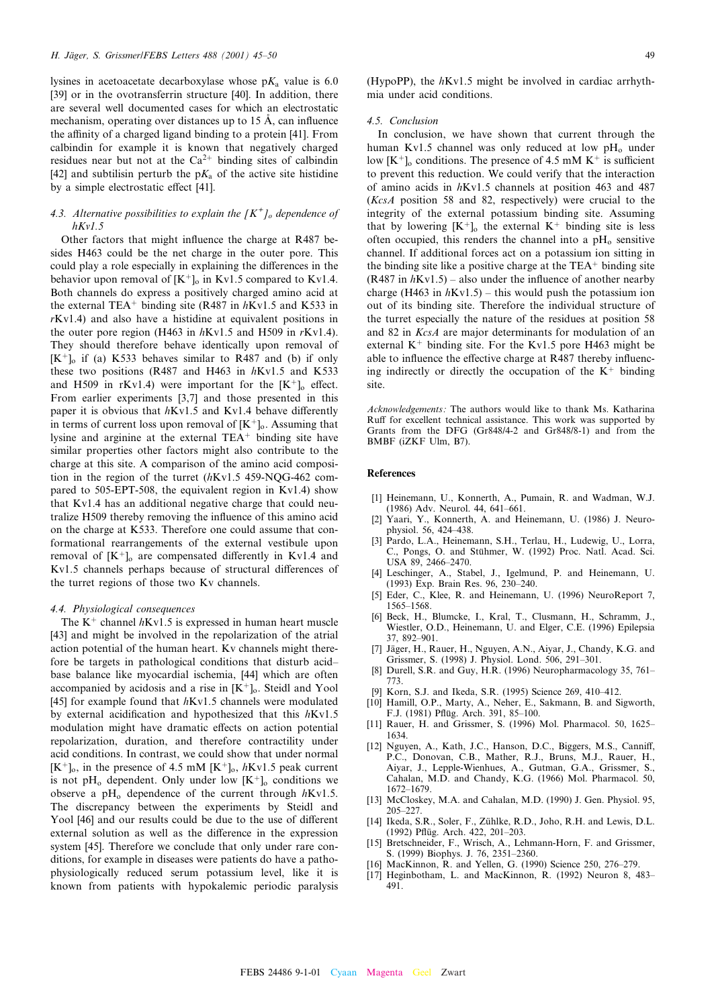lysines in acetoacetate decarboxylase whose  $pK_a$  value is 6.0 [39] or in the ovotransferrin structure [40]. In addition, there are several well documented cases for which an electrostatic mechanism, operating over distances up to  $15 \text{ Å}$ , can influence the affinity of a charged ligand binding to a protein [41]. From calbindin for example it is known that negatively charged residues near but not at the  $Ca^{2+}$  binding sites of calbindin [42] and subtilisin perturb the  $pK_a$  of the active site histidine by a simple electrostatic effect [41].

# 4.3. Alternative possibilities to explain the  $\lfloor K^{\dagger}\rfloor$  dependence of  $hKv1.5$

Other factors that might influence the charge at R487 besides H463 could be the net charge in the outer pore. This could play a role especially in explaining the differences in the behavior upon removal of  $[K^+]_0$  in Kv1.5 compared to Kv1.4. Both channels do express a positively charged amino acid at the external TEA<sup>+</sup> binding site (R487 in  $h$ Kv1.5 and K533 in rKv1.4) and also have a histidine at equivalent positions in the outer pore region (H463 in  $hKv1.5$  and H509 in  $rKv1.4$ ). They should therefore behave identically upon removal of  $[K^+]$ <sub>o</sub> if (a) K533 behaves similar to R487 and (b) if only these two positions (R487 and H463 in  $hKv1.5$  and K533 and H509 in rKv1.4) were important for the  $[K^+]_0$  effect. From earlier experiments [3,7] and those presented in this paper it is obvious that  $hKv1.5$  and Kv1.4 behave differently in terms of current loss upon removal of  $[K^+]_0$ . Assuming that lysine and arginine at the external  $TEA<sup>+</sup>$  binding site have similar properties other factors might also contribute to the charge at this site. A comparison of the amino acid composition in the region of the turret (hKv1.5 459-NQG-462 compared to 505-EPT-508, the equivalent region in Kv1.4) show that Kv1.4 has an additional negative charge that could neutralize H509 thereby removing the influence of this amino acid on the charge at K533. Therefore one could assume that conformational rearrangements of the external vestibule upon removal of  $[K^+]$ <sub>o</sub> are compensated differently in Kv1.4 and Kv1.5 channels perhaps because of structural differences of the turret regions of those two Kv channels.

#### 4.4. Physiological consequences

The  $K^+$  channel  $hKv1.5$  is expressed in human heart muscle [43] and might be involved in the repolarization of the atrial action potential of the human heart. Kv channels might therefore be targets in pathological conditions that disturb acid^ base balance like myocardial ischemia, [44] which are often accompanied by acidosis and a rise in  $[K^+]_0$ . Steidl and Yool [45] for example found that  $hKv1.5$  channels were modulated by external acidification and hypothesized that this  $hKv1.5$ modulation might have dramatic effects on action potential repolarization, duration, and therefore contractility under acid conditions. In contrast, we could show that under normal  $[K^+]_0$ , in the presence of 4.5 mM  $[K^+]_0$ , hKv1.5 peak current is not pH<sub>o</sub> dependent. Only under low  $[K^+]_0$  conditions we observe a  $pH_0$  dependence of the current through  $hKv1.5$ . The discrepancy between the experiments by Steidl and Yool [46] and our results could be due to the use of different external solution as well as the difference in the expression system [45]. Therefore we conclude that only under rare conditions, for example in diseases were patients do have a pathophysiologically reduced serum potassium level, like it is known from patients with hypokalemic periodic paralysis (HypoPP), the  $hKv1.5$  might be involved in cardiac arrhythmia under acid conditions.

# 4.5. Conclusion

In conclusion, we have shown that current through the human Kv1.5 channel was only reduced at low  $pH_0$  under low  $[K^+]$ <sub>o</sub> conditions. The presence of 4.5 mM  $K^+$  is sufficient to prevent this reduction. We could verify that the interaction of amino acids in hKv1.5 channels at position 463 and 487 (KcsA position 58 and 82, respectively) were crucial to the integrity of the external potassium binding site. Assuming that by lowering  $[K^+]$ <sub>o</sub> the external  $K^+$  binding site is less often occupied, this renders the channel into a  $pH_0$  sensitive channel. If additional forces act on a potassium ion sitting in the binding site like a positive charge at the  $TEA<sup>+</sup>$  binding site  $(R487$  in  $hKv1.5)$  – also under the influence of another nearby charge (H463 in  $h$ Kv1.5) – this would push the potassium ion out of its binding site. Therefore the individual structure of the turret especially the nature of the residues at position 58 and 82 in KcsA are major determinants for modulation of an external  $K^+$  binding site. For the Kv1.5 pore H463 might be able to influence the effective charge at R487 thereby influencing indirectly or directly the occupation of the  $K^+$  binding site.

Acknowledgements: The authors would like to thank Ms. Katharina Ruff for excellent technical assistance. This work was supported by Grants from the DFG (Gr848/4-2 and Gr848/8-1) and from the BMBF (iZKF Ulm, B7).

## References

- [1] Heinemann, U., Konnerth, A., Pumain, R. and Wadman, W.J. (1986) Adv. Neurol. 44, 641-661.
- Yaari, Y., Konnerth, A. and Heinemann, U. (1986) J. Neurophysiol. 56, 424^438.
- [3] Pardo, L.A., Heinemann, S.H., Terlau, H., Ludewig, U., Lorra, C., Pongs, O. and Stühmer, W. (1992) Proc. Natl. Acad. Sci. USA 89, 2466-2470.
- [4] Leschinger, A., Stabel, J., Igelmund, P. and Heinemann, U. (1993) Exp. Brain Res. 96, 230^240.
- [5] Eder, C., Klee, R. and Heinemann, U. (1996) NeuroReport 7, 1565^1568.
- [6] Beck, H., Blumcke, I., Kral, T., Clusmann, H., Schramm, J., Wiestler, O.D., Heinemann, U. and Elger, C.E. (1996) Epilepsia 37, 892-901.
- [7] Jäger, H., Rauer, H., Nguyen, A.N., Aiyar, J., Chandy, K.G. and Grissmer, S. (1998) J. Physiol. Lond. 506, 291-301.
- Durell, S.R. and Guy, H.R. (1996) Neuropharmacology 35, 761– 773.
- [9] Korn, S.J. and Ikeda, S.R. (1995) Science 269, 410-412.
- [10] Hamill, O.P., Marty, A., Neher, E., Sakmann, B. and Sigworth, F.J. (1981) Pflüg. Arch. 391, 85-100.
- [11] Rauer, H. and Grissmer, S. (1996) Mol. Pharmacol. 50, 1625– 1634.
- [12] Nguyen, A., Kath, J.C., Hanson, D.C., Biggers, M.S., Canniff, P.C., Donovan, C.B., Mather, R.J., Bruns, M.J., Rauer, H., Aiyar, J., Lepple-Wienhues, A., Gutman, G.A., Grissmer, S., Cahalan, M.D. and Chandy, K.G. (1966) Mol. Pharmacol. 50, 1672^1679.
- [13] McCloskey, M.A. and Cahalan, M.D. (1990) J. Gen. Physiol. 95, 205^227.
- [14] Ikeda, S.R., Soler, F., Zühlke, R.D., Joho, R.H. and Lewis, D.L. (1992) Pflüg. Arch. 422, 201-203.
- [15] Bretschneider, F., Wrisch, A., Lehmann-Horn, F. and Grissmer, S. (1999) Biophys. J. 76, 2351-2360.
- [16] MacKinnon, R. and Yellen, G. (1990) Science 250, 276-279.
- [17] Heginbotham, L. and MacKinnon, R. (1992) Neuron 8, 483-491.